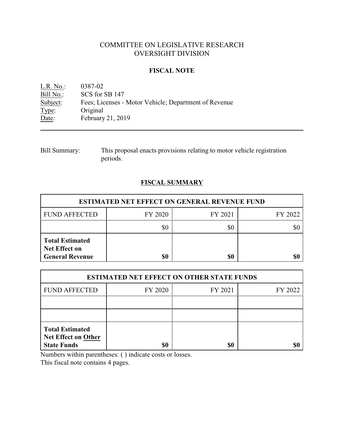# COMMITTEE ON LEGISLATIVE RESEARCH OVERSIGHT DIVISION

### **FISCAL NOTE**

L.R. No.: 0387-02<br>
Bill No.: SCS for : Bill No.: SCS for SB 147<br>Subject: Fees; Licenses -Fees; Licenses - Motor Vehicle; Department of Revenue Type: Original Date: February 21, 2019

Bill Summary: This proposal enacts provisions relating to motor vehicle registration periods.

## **FISCAL SUMMARY**

| <b>ESTIMATED NET EFFECT ON GENERAL REVENUE FUND</b>                      |         |         |         |  |
|--------------------------------------------------------------------------|---------|---------|---------|--|
| <b>FUND AFFECTED</b>                                                     | FY 2020 | FY 2021 | FY 2022 |  |
|                                                                          |         | SC      |         |  |
| <b>Total Estimated</b><br><b>Net Effect on</b><br><b>General Revenue</b> |         | \$0     | \$0     |  |

| <b>ESTIMATED NET EFFECT ON OTHER STATE FUNDS</b>                           |         |         |         |  |
|----------------------------------------------------------------------------|---------|---------|---------|--|
| <b>FUND AFFECTED</b>                                                       | FY 2020 | FY 2021 | FY 2022 |  |
|                                                                            |         |         |         |  |
|                                                                            |         |         |         |  |
| <b>Total Estimated</b><br><b>Net Effect on Other</b><br><b>State Funds</b> | \$0     | \$0     |         |  |

Numbers within parentheses: ( ) indicate costs or losses.

This fiscal note contains 4 pages.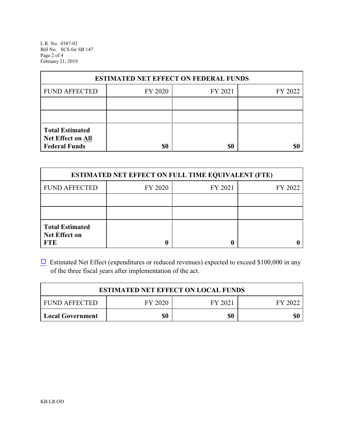L.R. No. 0387-02 Bill No. SCS for SB 147 Page 2 of 4 February 21, 2019

| <b>ESTIMATED NET EFFECT ON FEDERAL FUNDS</b>                        |         |         |         |  |
|---------------------------------------------------------------------|---------|---------|---------|--|
| <b>FUND AFFECTED</b>                                                | FY 2020 | FY 2021 | FY 2022 |  |
|                                                                     |         |         |         |  |
|                                                                     |         |         |         |  |
| <b>Total Estimated</b><br>Net Effect on All<br><b>Federal Funds</b> | \$0     | \$0     |         |  |

| <b>ESTIMATED NET EFFECT ON FULL TIME EQUIVALENT (FTE)</b>    |         |         |         |  |
|--------------------------------------------------------------|---------|---------|---------|--|
| <b>FUND AFFECTED</b>                                         | FY 2020 | FY 2021 | FY 2022 |  |
|                                                              |         |         |         |  |
|                                                              |         |         |         |  |
| <b>Total Estimated</b><br><b>Net Effect on</b><br><b>FTE</b> |         |         |         |  |

 $\Box$  Estimated Net Effect (expenditures or reduced revenues) expected to exceed \$100,000 in any of the three fiscal years after implementation of the act.

| <b>ESTIMATED NET EFFECT ON LOCAL FUNDS</b> |         |         |         |  |
|--------------------------------------------|---------|---------|---------|--|
| <b>FUND AFFECTED</b>                       | FY 2020 | FY 2021 | FY 2022 |  |
| <b>Local Government</b>                    | \$0     | \$0     | \$0     |  |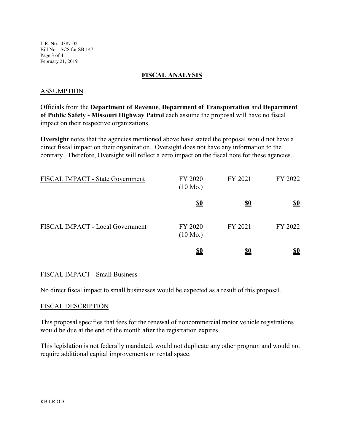L.R. No. 0387-02 Bill No. SCS for SB 147 Page 3 of 4 February 21, 2019

#### **FISCAL ANALYSIS**

#### ASSUMPTION

Officials from the **Department of Revenue**, **Department of Transportation** and **Department of Public Safety - Missouri Highway Patrol** each assume the proposal will have no fiscal impact on their respective organizations.

**Oversight** notes that the agencies mentioned above have stated the proposal would not have a direct fiscal impact on their organization. Oversight does not have any information to the contrary. Therefore, Oversight will reflect a zero impact on the fiscal note for these agencies.

| FISCAL IMPACT - State Government | FY 2020<br>$(10 \text{ Mo.})$ | FY 2021    | FY 2022    |
|----------------------------------|-------------------------------|------------|------------|
|                                  | <u>\$0</u>                    | <u>\$0</u> | <u>\$0</u> |
| FISCAL IMPACT - Local Government | FY 2020<br>$(10 \text{ Mo.})$ | FY 2021    | FY 2022    |
|                                  | <u>\$0</u>                    | \$0        | <u>\$0</u> |

### FISCAL IMPACT - Small Business

No direct fiscal impact to small businesses would be expected as a result of this proposal.

#### FISCAL DESCRIPTION

This proposal specifies that fees for the renewal of noncommercial motor vehicle registrations would be due at the end of the month after the registration expires.

This legislation is not federally mandated, would not duplicate any other program and would not require additional capital improvements or rental space.